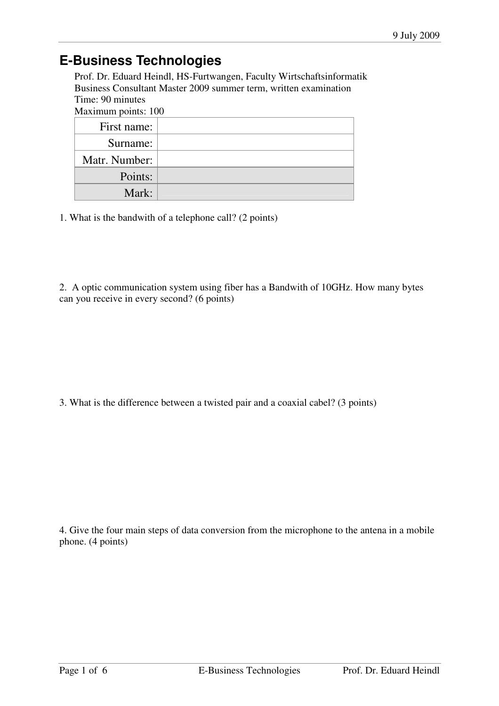## **E-Business Technologies**

Prof. Dr. Eduard Heindl, HS-Furtwangen, Faculty Wirtschaftsinformatik Business Consultant Master 2009 summer term, written examination Time: 90 minutes

Maximum points: 100

| First name:   |  |
|---------------|--|
| Surname:      |  |
| Matr. Number: |  |
| Points:       |  |
| Mark:         |  |

1. What is the bandwith of a telephone call? (2 points)

2. A optic communication system using fiber has a Bandwith of 10GHz. How many bytes can you receive in every second? (6 points)

3. What is the difference between a twisted pair and a coaxial cabel? (3 points)

4. Give the four main steps of data conversion from the microphone to the antena in a mobile phone. (4 points)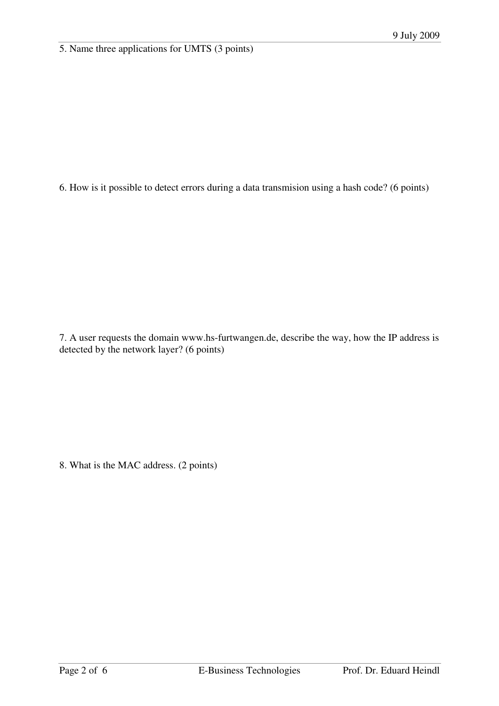5. Name three applications for UMTS (3 points)

6. How is it possible to detect errors during a data transmision using a hash code? (6 points)

7. A user requests the domain www.hs-furtwangen.de, describe the way, how the IP address is detected by the network layer? (6 points)

8. What is the MAC address. (2 points)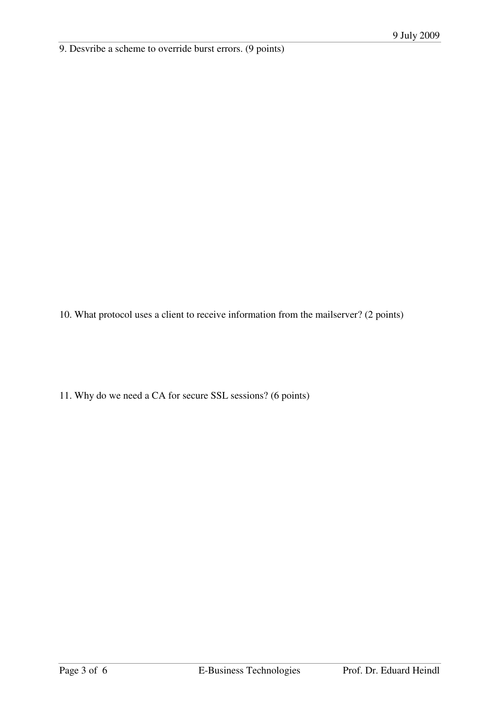9. Desvribe a scheme to override burst errors. (9 points)

10. What protocol uses a client to receive information from the mailserver? (2 points)

11. Why do we need a CA for secure SSL sessions? (6 points)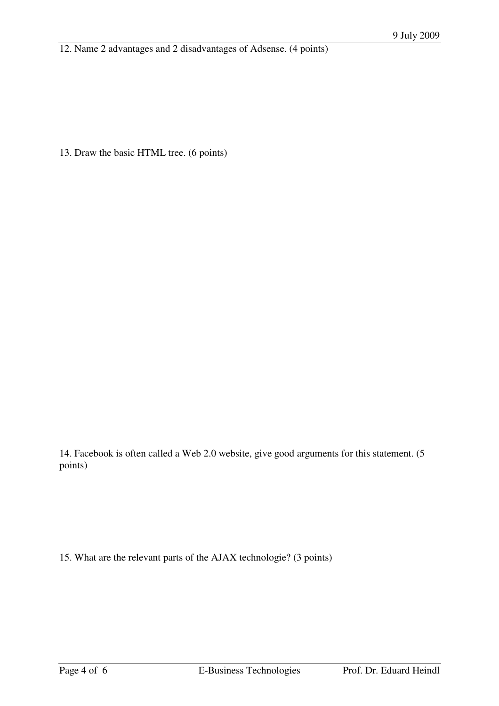12. Name 2 advantages and 2 disadvantages of Adsense. (4 points)

13. Draw the basic HTML tree. (6 points)

14. Facebook is often called a Web 2.0 website, give good arguments for this statement. (5 points)

15. What are the relevant parts of the AJAX technologie? (3 points)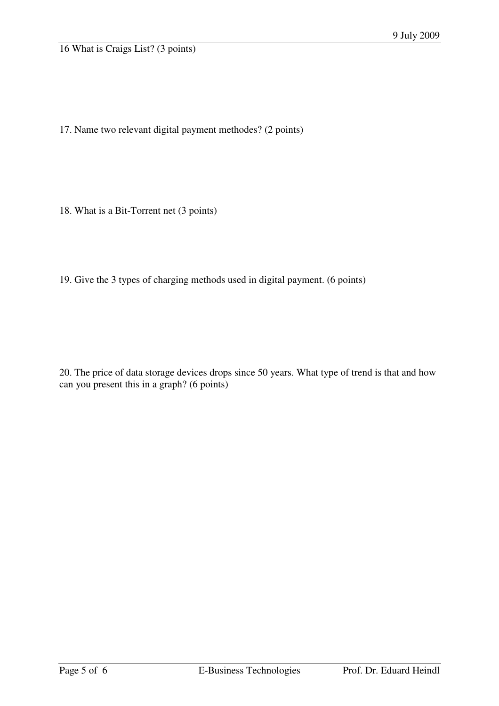16 What is Craigs List? (3 points)

17. Name two relevant digital payment methodes? (2 points)

18. What is a Bit-Torrent net (3 points)

19. Give the 3 types of charging methods used in digital payment. (6 points)

20. The price of data storage devices drops since 50 years. What type of trend is that and how can you present this in a graph? (6 points)